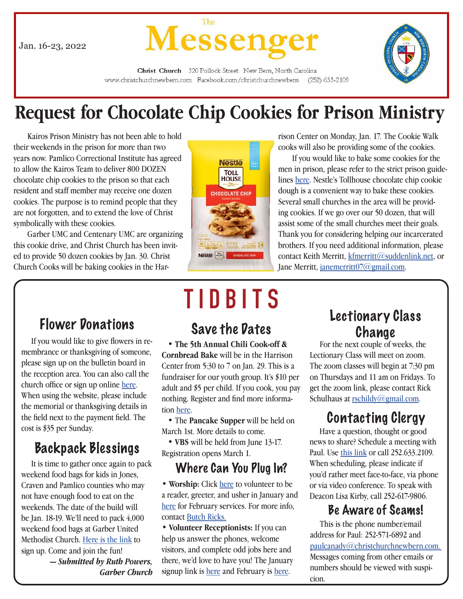Jan. 16-23, 2022



Christ Church 320 Pollock Street New Bern, North Carolina www.christchurchnewbern.com Facebook.com/christchurchnewbern  $(252)$  633-2109

## **Request for Chocolate Chip Cookies for Prison Ministry**

 Kairos Prison Ministry has not been able to hold their weekends in the prison for more than two years now. Pamlico Correctional Institute has agreed to allow the Kairos Team to deliver 800 DOZEN chocolate chip cookies to the prison so that each resident and staff member may receive one dozen cookies. The purpose is to remind people that they are not forgotten, and to extend the love of Christ symbolically with these cookies.

 Garber UMC and Centenary UMC are organizing this cookie drive, and Christ Church has been invited to provide 50 dozen cookies by Jan. 30. Christ Church Cooks will be baking cookies in the Har-



rison Center on Monday, Jan. 17. The Cookie Walk cooks will also be providing some of the cookies.

 If you would like to bake some cookies for the men in prison, please refer to the strict prison guidelines [here](file:C:\Users\Betsy\Downloads\Kairos%20Cookie%20Instructions%202022.docx). Nestle's Tollhouse chocolate chip cookie dough is a convenient way to bake these cookies. Several small churches in the area will be providing cookies. If we go over our 50 dozen, that will assist some of the small churches meet their goals. Thank you for considering helping our incarcerated brothers. If you need additional information, please contact Keith Merritt, [kfmerritt@suddenlink.net](mailto:kfmerritt%40suddenlink.net?subject=), or Jane Merritt, [janemerritt07@gmail.com](mailto:janemerritt07%40gmail.com?subject=).

## Flower Donations

 If you would like to give flowers in remembrance or thanksgiving of someone, please sign up on the bulletin board in the reception area. You can also call the church office or sign up online [here.](http://www.christchurchnewbern.com/give) When using the website, please include the memorial or thanksgiving details in the field next to the payment field. The cost is \$35 per Sunday.

## Backpack Blessings

 It is time to gather once again to pack weekend food bags for kids in Jones, Craven and Pamlico counties who may not have enough food to eat on the weekends. The date of the build will be Jan. 18-19. We'll need to pack 4,000 weekend food bags at Garber United Methodist Church. [Here is the link](https://www.signupgenius.com/go/4090D4BA9AB2AA0FD0-backpack8
) to sign up. Come and join the fun!

*— Submitted by Ruth Powers, Garber Church*

## **TIDBITS**

 • **The 5th Annual Chili Cook-off & Cornbread Bake** will be in the Harrison Center from 5:30 to 7 on Jan. 29. This is a fundraiser for our youth group. It's \$10 per adult and \$5 per child. If you cook, you pay nothing. Register and find more information here.

 • The **Pancake Supper** will be held on March 1st. More details to come.

 • **VBS** will be held from June 13-17. Registration opens March 1.

### Where Can You Plug In?

• **Worship:** Click [here](https://www.signupgenius.com/go/409094daea928abff2-january5) to volunteer to be a reader, greeter, and usher in January and [here](https://www.signupgenius.com/go/409094daea928abff2-february10) for February services. For more info, contact Butch Ricks.

• **Volunteer Receptionists:** If you can help us answer the phones, welcome visitors, and complete odd jobs here and there, we'd love to have you! The January signup link is [here](https://www.signupgenius.com/go/409094daea928abff2-january6) and February is [here](https://www.signupgenius.com/go/409094DAEA928ABFF2-february11).

# Lectionary Class Save the Dates Change

 For the next couple of weeks, the Lectionary Class will meet on zoom. The zoom classes will begin at 7:30 pm on Thursdays and 11 am on Fridays. To get the zoom link, please contact Rick Schulhaus at [rschildy@gmail.com.](mailto:rschildy%40gmail.com?subject=)

## Contacting Clergy

 Have a question, thought or good news to share? Schedule a meeting with Paul. Use [this link](https://calendly.com/paulcanady/) or call 252.633.2109. When scheduling, please indicate if you'd rather meet face-to-face, via phone or via video conference. To speak with Deacon Lisa Kirby, call 252-617-9806.

## Be Aware of Scams!

 This is the phone number/email address for Paul: 252-571-6892 and [paulcanady@christchurchnewbern.com](mailto:paulcanady%40christchurchnewbern.com?subject=). Messages coming from other emails or numbers should be viewed with suspicion.

 $\overline{\phantom{a}}$